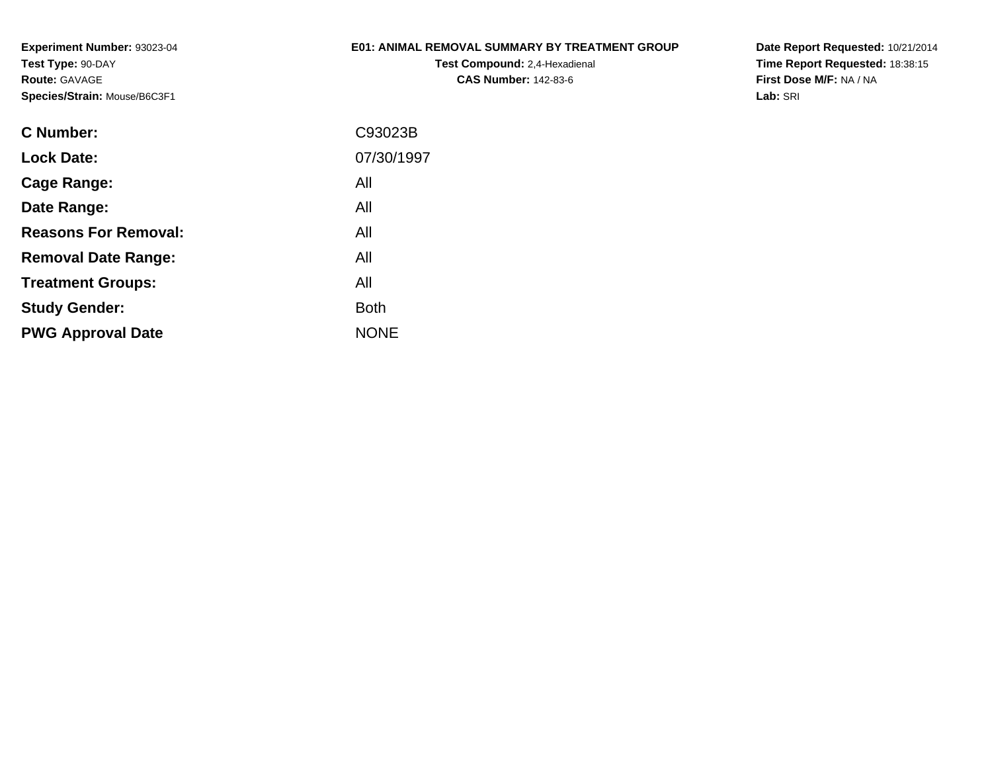# **E01: ANIMAL REMOVAL SUMMARY BY TREATMENT GROUP**

**Test Compound:** 2,4-Hexadienal **CAS Number:** 142-83-6

**Date Report Requested:** 10/21/2014 **Time Report Requested:** 18:38:15**First Dose M/F:** NA / NA**Lab:** SRI

| C Number:                   | C93023B     |
|-----------------------------|-------------|
| <b>Lock Date:</b>           | 07/30/1997  |
| Cage Range:                 | All         |
| Date Range:                 | All         |
| <b>Reasons For Removal:</b> | All         |
| <b>Removal Date Range:</b>  | All         |
| <b>Treatment Groups:</b>    | All         |
| <b>Study Gender:</b>        | <b>Both</b> |
| <b>PWG Approval Date</b>    | <b>NONE</b> |
|                             |             |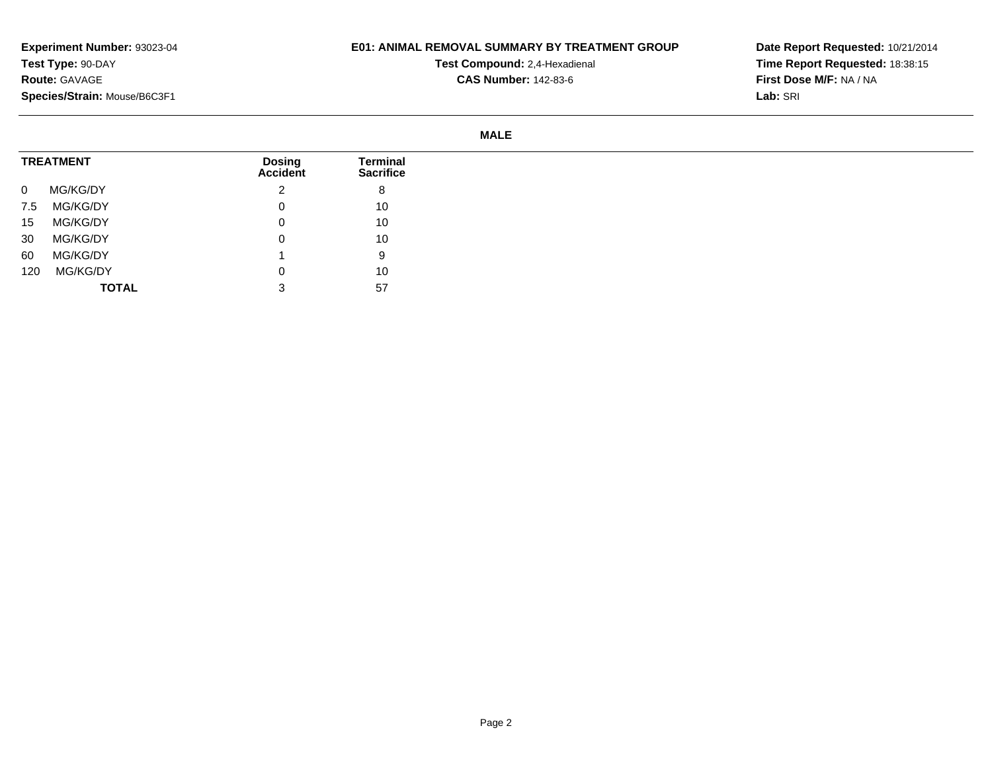#### **E01: ANIMAL REMOVAL SUMMARY BY TREATMENT GROUP**

**Test Compound:** 2,4-Hexadienal **CAS Number:** 142-83-6

**Date Report Requested:** 10/21/2014 **Time Report Requested:** 18:38:15**First Dose M/F:** NA / NA**Lab:** SRI

#### **MALE**

| <b>TREATMENT</b> |              | <b>Dosing</b><br>Accident | <b>Terminal</b><br><b>Sacrifice</b> |
|------------------|--------------|---------------------------|-------------------------------------|
| $\mathbf 0$      | MG/KG/DY     | ົ                         | 8                                   |
| 7.5              | MG/KG/DY     | 0                         | 10                                  |
| 15               | MG/KG/DY     | 0                         | 10                                  |
| 30               | MG/KG/DY     | 0                         | 10                                  |
| 60               | MG/KG/DY     |                           | 9                                   |
| 120              | MG/KG/DY     | 0                         | 10                                  |
|                  | <b>TOTAL</b> | $\mathbf{\Omega}$<br>◡    | 57                                  |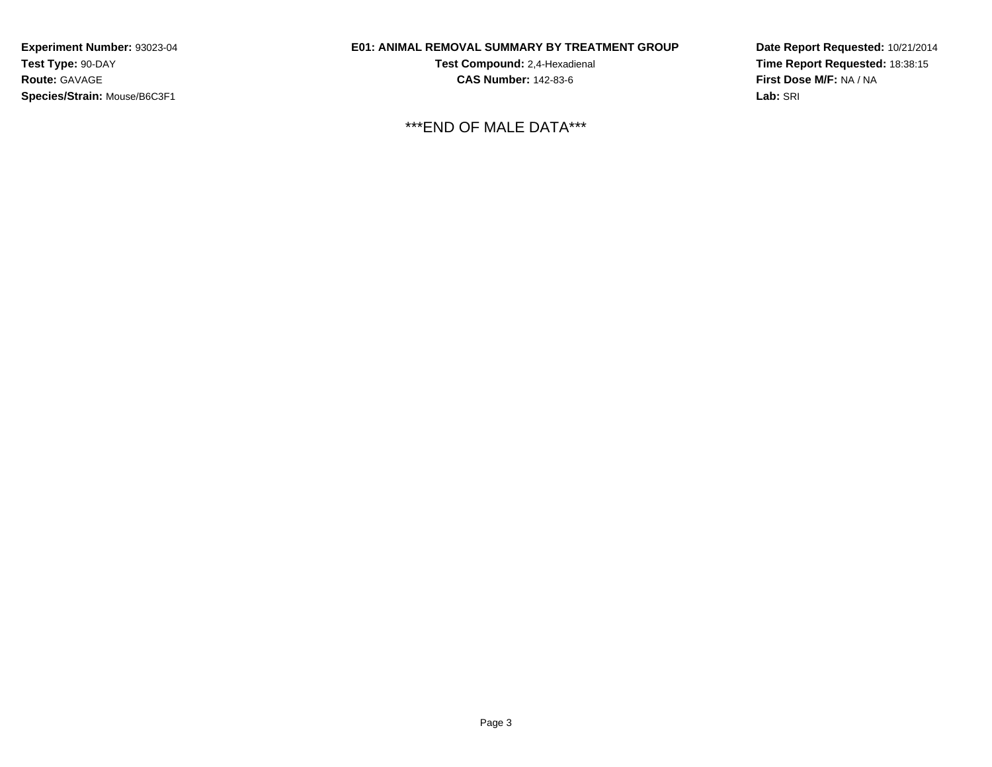# **E01: ANIMAL REMOVAL SUMMARY BY TREATMENT GROUP**

**Test Compound:** 2,4-Hexadienal **CAS Number:** 142-83-6

\*\*\*END OF MALE DATA\*\*\*

**Date Report Requested:** 10/21/2014**Time Report Requested:** 18:38:15**First Dose M/F:** NA / NA**Lab:** SRI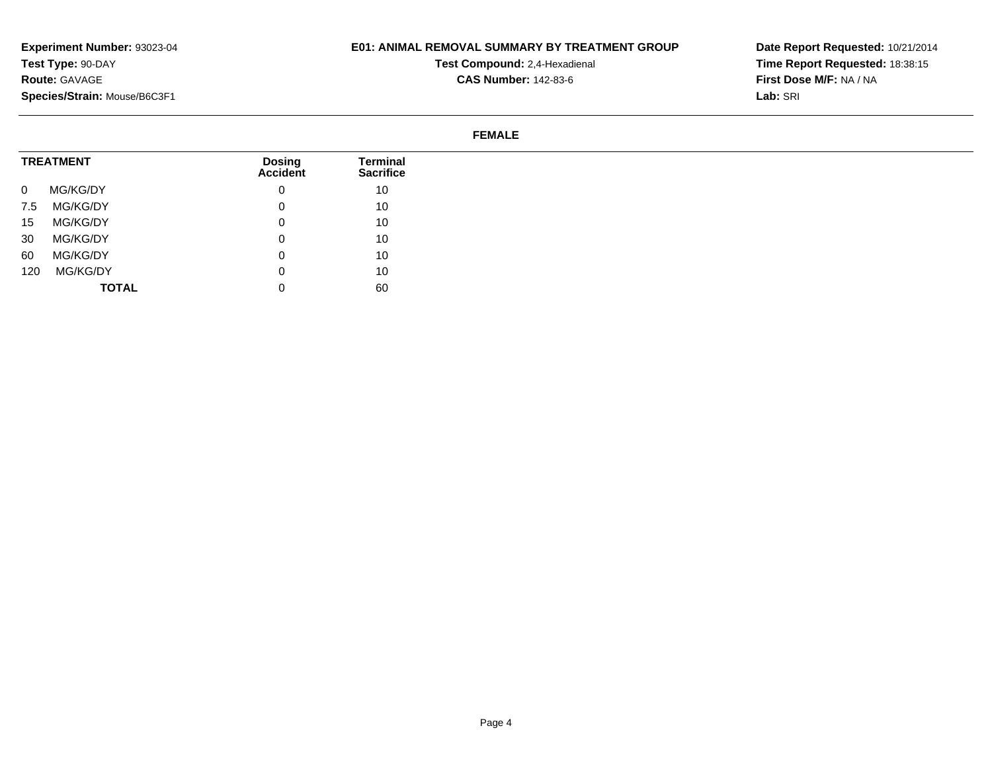# **E01: ANIMAL REMOVAL SUMMARY BY TREATMENT GROUP**

**Test Compound:** 2,4-Hexadienal **CAS Number:** 142-83-6

**Date Report Requested:** 10/21/2014 **Time Report Requested:** 18:38:15**First Dose M/F:** NA / NA**Lab:** SRI

#### **FEMALE**

| <b>TREATMENT</b> |              | <b>Dosing</b><br>Accident | Terminal<br><b>Sacrifice</b> |
|------------------|--------------|---------------------------|------------------------------|
| $\mathbf{0}$     | MG/KG/DY     | v                         | 10                           |
| 7.5              | MG/KG/DY     | u                         | 10                           |
| 15               | MG/KG/DY     | 0                         | 10                           |
| 30               | MG/KG/DY     | 0                         | 10                           |
| 60               | MG/KG/DY     | 0                         | 10                           |
| 120              | MG/KG/DY     | u                         | 10                           |
|                  | <b>TOTAL</b> | v                         | 60                           |